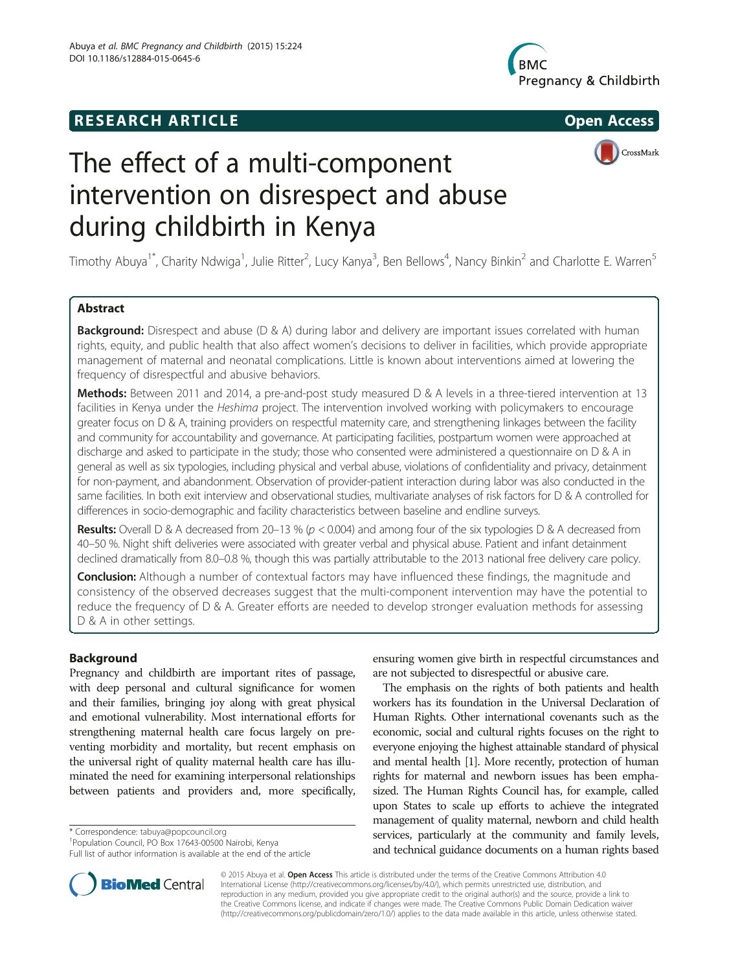## **RESEARCH ARTICLE Example 20 and 20 and 20 and 20 and 20 and 20 and 20 and 20 and 20 and 20 and 20 and 20 and 20 and 20 and 20 and 20 and 20 and 20 and 20 and 20 and 20 and 20 and 20 and 20 and 20 and 20 and 20 and 20 an**





# The effect of a multi-component intervention on disrespect and abuse during childbirth in Kenya

Timothy Abuya<sup>1\*</sup>, Charity Ndwiga<sup>1</sup>, Julie Ritter<sup>2</sup>, Lucy Kanya<sup>3</sup>, Ben Bellows<sup>4</sup>, Nancy Binkin<sup>2</sup> and Charlotte E. Warren<sup>5</sup>

## Abstract

**Background:** Disrespect and abuse (D & A) during labor and delivery are important issues correlated with human rights, equity, and public health that also affect women's decisions to deliver in facilities, which provide appropriate management of maternal and neonatal complications. Little is known about interventions aimed at lowering the frequency of disrespectful and abusive behaviors.

Methods: Between 2011 and 2014, a pre-and-post study measured D & A levels in a three-tiered intervention at 13 facilities in Kenya under the *Heshima* project. The intervention involved working with policymakers to encourage greater focus on D & A, training providers on respectful maternity care, and strengthening linkages between the facility and community for accountability and governance. At participating facilities, postpartum women were approached at discharge and asked to participate in the study; those who consented were administered a questionnaire on D & A in general as well as six typologies, including physical and verbal abuse, violations of confidentiality and privacy, detainment for non-payment, and abandonment. Observation of provider-patient interaction during labor was also conducted in the same facilities. In both exit interview and observational studies, multivariate analyses of risk factors for D & A controlled for differences in socio-demographic and facility characteristics between baseline and endline surveys.

**Results:** Overall D & A decreased from 20–13 % ( $p < 0.004$ ) and among four of the six typologies D & A decreased from 40–50 %. Night shift deliveries were associated with greater verbal and physical abuse. Patient and infant detainment declined dramatically from 8.0–0.8 %, though this was partially attributable to the 2013 national free delivery care policy.

**Conclusion:** Although a number of contextual factors may have influenced these findings, the magnitude and consistency of the observed decreases suggest that the multi-component intervention may have the potential to reduce the frequency of D & A. Greater efforts are needed to develop stronger evaluation methods for assessing D & A in other settings.

## Background

Pregnancy and childbirth are important rites of passage, with deep personal and cultural significance for women and their families, bringing joy along with great physical and emotional vulnerability. Most international efforts for strengthening maternal health care focus largely on preventing morbidity and mortality, but recent emphasis on the universal right of quality maternal health care has illuminated the need for examining interpersonal relationships between patients and providers and, more specifically,

\* Correspondence: [tabuya@popcouncil.org](mailto:tabuya@popcouncil.org) <sup>1</sup>

<sup>1</sup> Population Council, PO Box 17643-00500 Nairobi, Kenya

Full list of author information is available at the end of the article

ensuring women give birth in respectful circumstances and are not subjected to disrespectful or abusive care.

The emphasis on the rights of both patients and health workers has its foundation in the Universal Declaration of Human Rights. Other international covenants such as the economic, social and cultural rights focuses on the right to everyone enjoying the highest attainable standard of physical and mental health [[1](#page-13-0)]. More recently, protection of human rights for maternal and newborn issues has been emphasized. The Human Rights Council has, for example, called upon States to scale up efforts to achieve the integrated management of quality maternal, newborn and child health services, particularly at the community and family levels, and technical guidance documents on a human rights based



© 2015 Abuya et al. Open Access This article is distributed under the terms of the Creative Commons Attribution 4.0 International License [\(http://creativecommons.org/licenses/by/4.0/](http://creativecommons.org/licenses/by/4.0/)), which permits unrestricted use, distribution, and reproduction in any medium, provided you give appropriate credit to the original author(s) and the source, provide a link to the Creative Commons license, and indicate if changes were made. The Creative Commons Public Domain Dedication waiver [\(http://creativecommons.org/publicdomain/zero/1.0/](http://creativecommons.org/publicdomain/zero/1.0/)) applies to the data made available in this article, unless otherwise stated.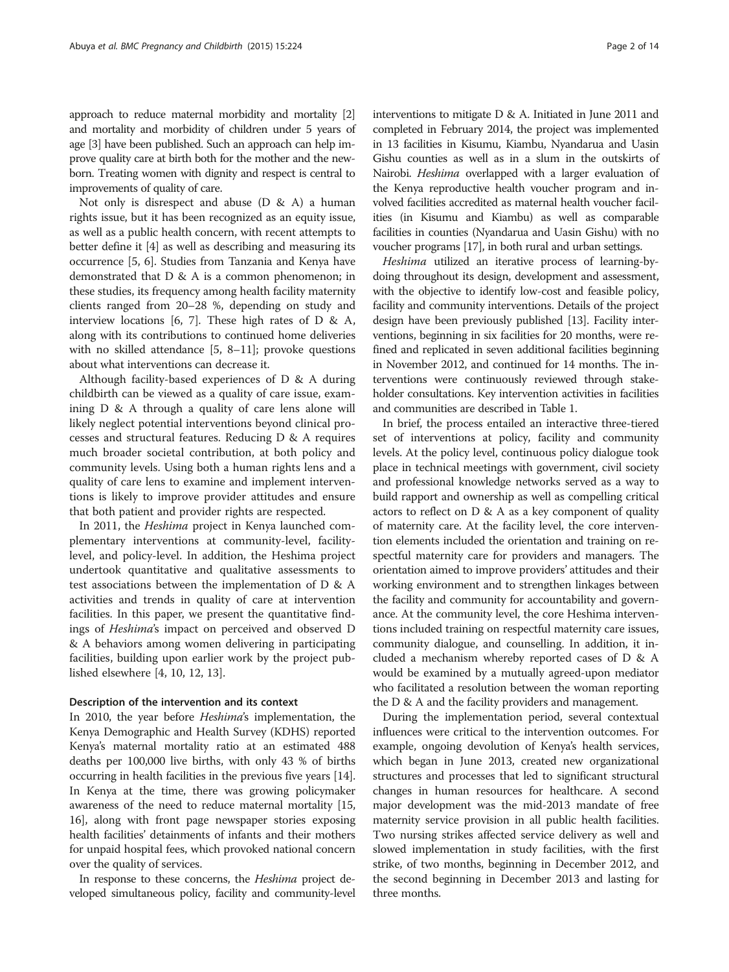approach to reduce maternal morbidity and mortality [[2](#page-13-0)] and mortality and morbidity of children under 5 years of age [\[3\]](#page-13-0) have been published. Such an approach can help improve quality care at birth both for the mother and the newborn. Treating women with dignity and respect is central to improvements of quality of care.

Not only is disrespect and abuse  $(D \& A)$  a human rights issue, but it has been recognized as an equity issue, as well as a public health concern, with recent attempts to better define it [\[4](#page-13-0)] as well as describing and measuring its occurrence [[5](#page-13-0), [6\]](#page-13-0). Studies from Tanzania and Kenya have demonstrated that D & A is a common phenomenon; in these studies, its frequency among health facility maternity clients ranged from 20–28 %, depending on study and interview locations [\[6](#page-13-0), [7](#page-13-0)]. These high rates of D & A, along with its contributions to continued home deliveries with no skilled attendance [\[5](#page-13-0), [8](#page-13-0)–[11](#page-13-0)]; provoke questions about what interventions can decrease it.

Although facility-based experiences of D & A during childbirth can be viewed as a quality of care issue, examining D & A through a quality of care lens alone will likely neglect potential interventions beyond clinical processes and structural features. Reducing D & A requires much broader societal contribution, at both policy and community levels. Using both a human rights lens and a quality of care lens to examine and implement interventions is likely to improve provider attitudes and ensure that both patient and provider rights are respected.

In 2011, the Heshima project in Kenya launched complementary interventions at community-level, facilitylevel, and policy-level. In addition, the Heshima project undertook quantitative and qualitative assessments to test associations between the implementation of D & A activities and trends in quality of care at intervention facilities. In this paper, we present the quantitative findings of Heshima's impact on perceived and observed D & A behaviors among women delivering in participating facilities, building upon earlier work by the project published elsewhere [\[4](#page-13-0), [10](#page-13-0), [12](#page-13-0), [13\]](#page-13-0).

#### Description of the intervention and its context

In 2010, the year before Heshima's implementation, the Kenya Demographic and Health Survey (KDHS) reported Kenya's maternal mortality ratio at an estimated 488 deaths per 100,000 live births, with only 43 % of births occurring in health facilities in the previous five years [[14](#page-13-0)]. In Kenya at the time, there was growing policymaker awareness of the need to reduce maternal mortality [[15](#page-13-0), [16](#page-13-0)], along with front page newspaper stories exposing health facilities' detainments of infants and their mothers for unpaid hospital fees, which provoked national concern over the quality of services.

In response to these concerns, the Heshima project developed simultaneous policy, facility and community-level interventions to mitigate D & A. Initiated in June 2011 and completed in February 2014, the project was implemented in 13 facilities in Kisumu, Kiambu, Nyandarua and Uasin Gishu counties as well as in a slum in the outskirts of Nairobi. Heshima overlapped with a larger evaluation of the Kenya reproductive health voucher program and involved facilities accredited as maternal health voucher facilities (in Kisumu and Kiambu) as well as comparable facilities in counties (Nyandarua and Uasin Gishu) with no voucher programs [[17](#page-13-0)], in both rural and urban settings.

Heshima utilized an iterative process of learning-bydoing throughout its design, development and assessment, with the objective to identify low-cost and feasible policy, facility and community interventions. Details of the project design have been previously published [\[13](#page-13-0)]. Facility interventions, beginning in six facilities for 20 months, were refined and replicated in seven additional facilities beginning in November 2012, and continued for 14 months. The interventions were continuously reviewed through stakeholder consultations. Key intervention activities in facilities and communities are described in Table [1.](#page-2-0)

In brief, the process entailed an interactive three-tiered set of interventions at policy, facility and community levels. At the policy level, continuous policy dialogue took place in technical meetings with government, civil society and professional knowledge networks served as a way to build rapport and ownership as well as compelling critical actors to reflect on  $D \& A$  as a key component of quality of maternity care. At the facility level, the core intervention elements included the orientation and training on respectful maternity care for providers and managers. The orientation aimed to improve providers' attitudes and their working environment and to strengthen linkages between the facility and community for accountability and governance. At the community level, the core Heshima interventions included training on respectful maternity care issues, community dialogue, and counselling. In addition, it included a mechanism whereby reported cases of D & A would be examined by a mutually agreed-upon mediator who facilitated a resolution between the woman reporting the D & A and the facility providers and management.

During the implementation period, several contextual influences were critical to the intervention outcomes. For example, ongoing devolution of Kenya's health services, which began in June 2013, created new organizational structures and processes that led to significant structural changes in human resources for healthcare. A second major development was the mid-2013 mandate of free maternity service provision in all public health facilities. Two nursing strikes affected service delivery as well and slowed implementation in study facilities, with the first strike, of two months, beginning in December 2012, and the second beginning in December 2013 and lasting for three months.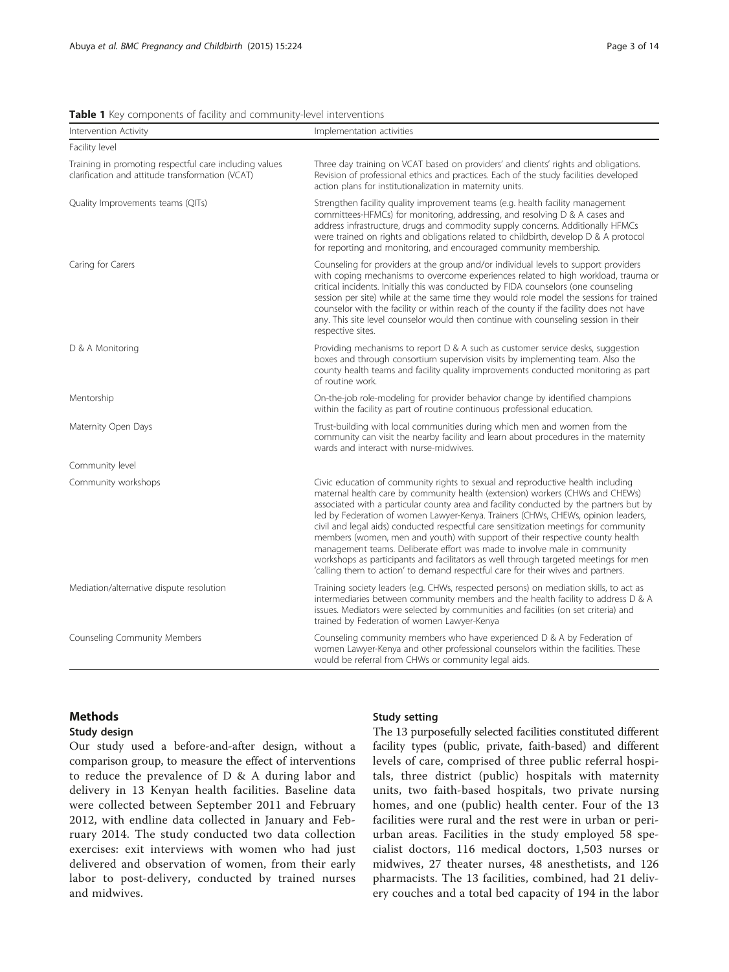<span id="page-2-0"></span>

|  |  |  |  |  |  |  |  | <b>Table 1</b> Key components of facility and community-level interventions |
|--|--|--|--|--|--|--|--|-----------------------------------------------------------------------------|
|--|--|--|--|--|--|--|--|-----------------------------------------------------------------------------|

| Intervention Activity                                                                                      | Implementation activities                                                                                                                                                                                                                                                                                                                                                                                                                                                                                                                                                                                                                                                                                                                                                        |
|------------------------------------------------------------------------------------------------------------|----------------------------------------------------------------------------------------------------------------------------------------------------------------------------------------------------------------------------------------------------------------------------------------------------------------------------------------------------------------------------------------------------------------------------------------------------------------------------------------------------------------------------------------------------------------------------------------------------------------------------------------------------------------------------------------------------------------------------------------------------------------------------------|
| Facility level                                                                                             |                                                                                                                                                                                                                                                                                                                                                                                                                                                                                                                                                                                                                                                                                                                                                                                  |
| Training in promoting respectful care including values<br>clarification and attitude transformation (VCAT) | Three day training on VCAT based on providers' and clients' rights and obligations.<br>Revision of professional ethics and practices. Each of the study facilities developed<br>action plans for institutionalization in maternity units.                                                                                                                                                                                                                                                                                                                                                                                                                                                                                                                                        |
| Quality Improvements teams (QITs)                                                                          | Strengthen facility quality improvement teams (e.g. health facility management<br>committees-HFMCs) for monitoring, addressing, and resolving D & A cases and<br>address infrastructure, drugs and commodity supply concerns. Additionally HFMCs<br>were trained on rights and obligations related to childbirth, develop D & A protocol<br>for reporting and monitoring, and encouraged community membership.                                                                                                                                                                                                                                                                                                                                                                   |
| Caring for Carers                                                                                          | Counseling for providers at the group and/or individual levels to support providers<br>with coping mechanisms to overcome experiences related to high workload, trauma or<br>critical incidents. Initially this was conducted by FIDA counselors (one counseling<br>session per site) while at the same time they would role model the sessions for trained<br>counselor with the facility or within reach of the county if the facility does not have<br>any. This site level counselor would then continue with counseling session in their<br>respective sites.                                                                                                                                                                                                               |
| D & A Monitoring                                                                                           | Providing mechanisms to report D & A such as customer service desks, suggestion<br>boxes and through consortium supervision visits by implementing team. Also the<br>county health teams and facility quality improvements conducted monitoring as part<br>of routine work.                                                                                                                                                                                                                                                                                                                                                                                                                                                                                                      |
| Mentorship                                                                                                 | On-the-job role-modeling for provider behavior change by identified champions<br>within the facility as part of routine continuous professional education.                                                                                                                                                                                                                                                                                                                                                                                                                                                                                                                                                                                                                       |
| Maternity Open Days                                                                                        | Trust-building with local communities during which men and women from the<br>community can visit the nearby facility and learn about procedures in the maternity<br>wards and interact with nurse-midwives.                                                                                                                                                                                                                                                                                                                                                                                                                                                                                                                                                                      |
| Community level                                                                                            |                                                                                                                                                                                                                                                                                                                                                                                                                                                                                                                                                                                                                                                                                                                                                                                  |
| Community workshops                                                                                        | Civic education of community rights to sexual and reproductive health including<br>maternal health care by community health (extension) workers (CHWs and CHEWs)<br>associated with a particular county area and facility conducted by the partners but by<br>led by Federation of women Lawyer-Kenya. Trainers (CHWs, CHEWs, opinion leaders,<br>civil and legal aids) conducted respectful care sensitization meetings for community<br>members (women, men and youth) with support of their respective county health<br>management teams. Deliberate effort was made to involve male in community<br>workshops as participants and facilitators as well through targeted meetings for men<br>'calling them to action' to demand respectful care for their wives and partners. |
| Mediation/alternative dispute resolution                                                                   | Training society leaders (e.g. CHWs, respected persons) on mediation skills, to act as<br>intermediaries between community members and the health facility to address D & A<br>issues. Mediators were selected by communities and facilities (on set criteria) and<br>trained by Federation of women Lawyer-Kenya                                                                                                                                                                                                                                                                                                                                                                                                                                                                |
| <b>Counseling Community Members</b>                                                                        | Counseling community members who have experienced D & A by Federation of<br>women Lawyer-Kenya and other professional counselors within the facilities. These<br>would be referral from CHWs or community legal aids.                                                                                                                                                                                                                                                                                                                                                                                                                                                                                                                                                            |

## Methods

#### Study design

Our study used a before-and-after design, without a comparison group, to measure the effect of interventions to reduce the prevalence of D & A during labor and delivery in 13 Kenyan health facilities. Baseline data were collected between September 2011 and February 2012, with endline data collected in January and February 2014. The study conducted two data collection exercises: exit interviews with women who had just delivered and observation of women, from their early labor to post-delivery, conducted by trained nurses and midwives.

### Study setting

The 13 purposefully selected facilities constituted different facility types (public, private, faith-based) and different levels of care, comprised of three public referral hospitals, three district (public) hospitals with maternity units, two faith-based hospitals, two private nursing homes, and one (public) health center. Four of the 13 facilities were rural and the rest were in urban or periurban areas. Facilities in the study employed 58 specialist doctors, 116 medical doctors, 1,503 nurses or midwives, 27 theater nurses, 48 anesthetists, and 126 pharmacists. The 13 facilities, combined, had 21 delivery couches and a total bed capacity of 194 in the labor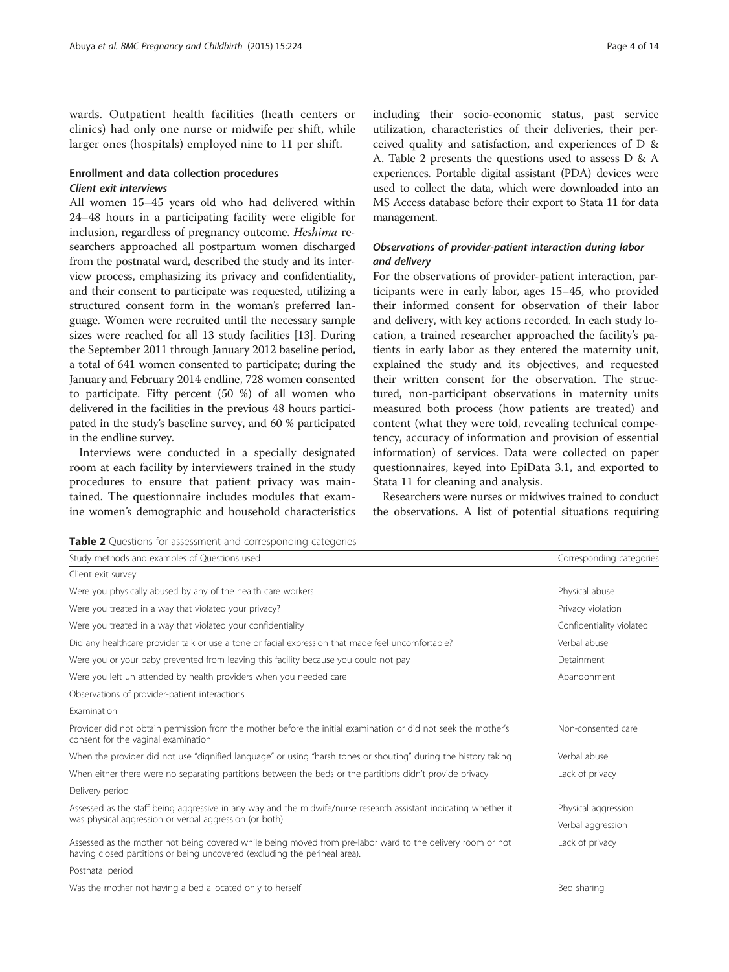<span id="page-3-0"></span>wards. Outpatient health facilities (heath centers or clinics) had only one nurse or midwife per shift, while larger ones (hospitals) employed nine to 11 per shift.

## Enrollment and data collection procedures Client exit interviews

All women 15–45 years old who had delivered within 24–48 hours in a participating facility were eligible for inclusion, regardless of pregnancy outcome. Heshima researchers approached all postpartum women discharged from the postnatal ward, described the study and its interview process, emphasizing its privacy and confidentiality, and their consent to participate was requested, utilizing a structured consent form in the woman's preferred language. Women were recruited until the necessary sample sizes were reached for all 13 study facilities [\[13](#page-13-0)]. During the September 2011 through January 2012 baseline period, a total of 641 women consented to participate; during the January and February 2014 endline, 728 women consented to participate. Fifty percent (50 %) of all women who delivered in the facilities in the previous 48 hours participated in the study's baseline survey, and 60 % participated in the endline survey.

Interviews were conducted in a specially designated room at each facility by interviewers trained in the study procedures to ensure that patient privacy was maintained. The questionnaire includes modules that examine women's demographic and household characteristics including their socio-economic status, past service utilization, characteristics of their deliveries, their perceived quality and satisfaction, and experiences of D & A. Table 2 presents the questions used to assess D & A experiences. Portable digital assistant (PDA) devices were used to collect the data, which were downloaded into an MS Access database before their export to Stata 11 for data management.

## Observations of provider-patient interaction during labor and delivery

For the observations of provider-patient interaction, participants were in early labor, ages 15–45, who provided their informed consent for observation of their labor and delivery, with key actions recorded. In each study location, a trained researcher approached the facility's patients in early labor as they entered the maternity unit, explained the study and its objectives, and requested their written consent for the observation. The structured, non-participant observations in maternity units measured both process (how patients are treated) and content (what they were told, revealing technical competency, accuracy of information and provision of essential information) of services. Data were collected on paper questionnaires, keyed into EpiData 3.1, and exported to Stata 11 for cleaning and analysis.

Researchers were nurses or midwives trained to conduct the observations. A list of potential situations requiring

Table 2 Questions for assessment and corresponding categories

| Study methods and examples of Questions used                                                                                                                                             | Corresponding categories |
|------------------------------------------------------------------------------------------------------------------------------------------------------------------------------------------|--------------------------|
| Client exit survey                                                                                                                                                                       |                          |
| Were you physically abused by any of the health care workers                                                                                                                             | Physical abuse           |
| Were you treated in a way that violated your privacy?                                                                                                                                    | Privacy violation        |
| Were you treated in a way that violated your confidentiality                                                                                                                             | Confidentiality violated |
| Did any healthcare provider talk or use a tone or facial expression that made feel uncomfortable?                                                                                        | Verbal abuse             |
| Were you or your baby prevented from leaving this facility because you could not pay                                                                                                     | Detainment               |
| Were you left un attended by health providers when you needed care                                                                                                                       | Abandonment              |
| Observations of provider-patient interactions                                                                                                                                            |                          |
| Fxamination                                                                                                                                                                              |                          |
| Provider did not obtain permission from the mother before the initial examination or did not seek the mother's<br>consent for the vaginal examination                                    | Non-consented care       |
| When the provider did not use "dignified language" or using "harsh tones or shouting" during the history taking                                                                          | Verbal abuse             |
| When either there were no separating partitions between the beds or the partitions didn't provide privacy                                                                                | Lack of privacy          |
| Delivery period                                                                                                                                                                          |                          |
| Assessed as the staff being aggressive in any way and the midwife/nurse research assistant indicating whether it                                                                         | Physical aggression      |
| was physical aggression or verbal aggression (or both)                                                                                                                                   | Verbal aggression        |
| Assessed as the mother not being covered while being moved from pre-labor ward to the delivery room or not<br>having closed partitions or being uncovered (excluding the perineal area). | Lack of privacy          |
| Postnatal period                                                                                                                                                                         |                          |
| Was the mother not having a bed allocated only to herself                                                                                                                                | Bed sharing              |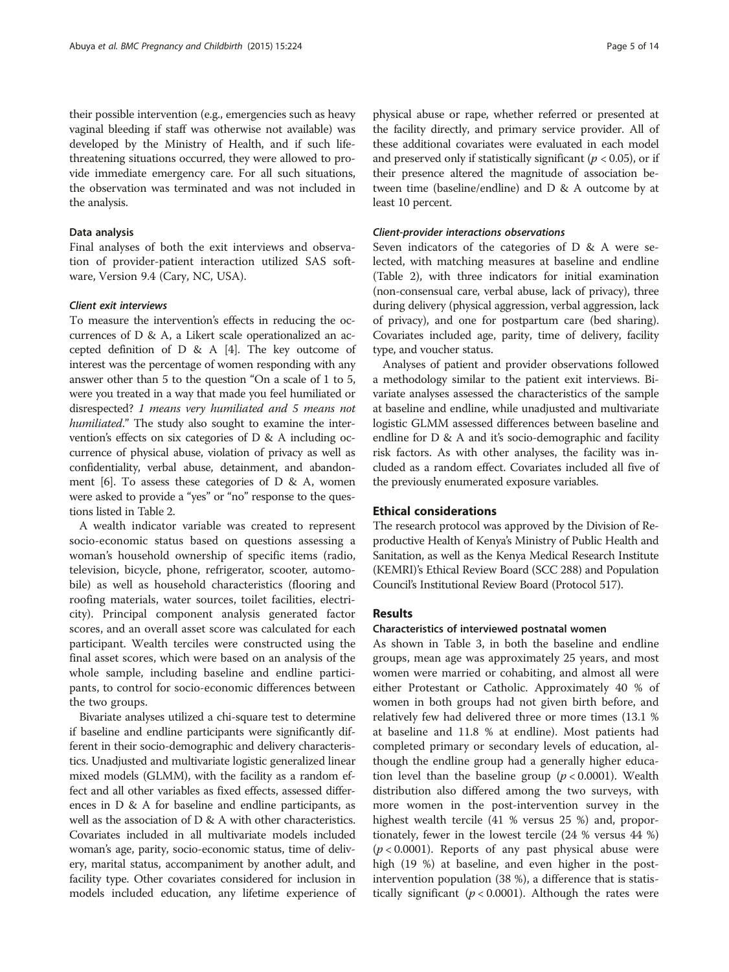their possible intervention (e.g., emergencies such as heavy vaginal bleeding if staff was otherwise not available) was developed by the Ministry of Health, and if such lifethreatening situations occurred, they were allowed to provide immediate emergency care. For all such situations, the observation was terminated and was not included in the analysis.

## Data analysis

Final analyses of both the exit interviews and observation of provider-patient interaction utilized SAS software, Version 9.4 (Cary, NC, USA).

## Client exit interviews

To measure the intervention's effects in reducing the occurrences of D & A, a Likert scale operationalized an accepted definition of D & A [\[4](#page-13-0)]. The key outcome of interest was the percentage of women responding with any answer other than 5 to the question "On a scale of 1 to 5, were you treated in a way that made you feel humiliated or disrespected? 1 means very humiliated and 5 means not humiliated." The study also sought to examine the intervention's effects on six categories of D & A including occurrence of physical abuse, violation of privacy as well as confidentiality, verbal abuse, detainment, and abandon-ment [\[6\]](#page-13-0). To assess these categories of  $D \& A$ , women were asked to provide a "yes" or "no" response to the questions listed in Table [2](#page-3-0).

A wealth indicator variable was created to represent socio-economic status based on questions assessing a woman's household ownership of specific items (radio, television, bicycle, phone, refrigerator, scooter, automobile) as well as household characteristics (flooring and roofing materials, water sources, toilet facilities, electricity). Principal component analysis generated factor scores, and an overall asset score was calculated for each participant. Wealth terciles were constructed using the final asset scores, which were based on an analysis of the whole sample, including baseline and endline participants, to control for socio-economic differences between the two groups.

Bivariate analyses utilized a chi-square test to determine if baseline and endline participants were significantly different in their socio-demographic and delivery characteristics. Unadjusted and multivariate logistic generalized linear mixed models (GLMM), with the facility as a random effect and all other variables as fixed effects, assessed differences in D & A for baseline and endline participants, as well as the association of D & A with other characteristics. Covariates included in all multivariate models included woman's age, parity, socio-economic status, time of delivery, marital status, accompaniment by another adult, and facility type. Other covariates considered for inclusion in models included education, any lifetime experience of

physical abuse or rape, whether referred or presented at the facility directly, and primary service provider. All of these additional covariates were evaluated in each model and preserved only if statistically significant ( $p < 0.05$ ), or if their presence altered the magnitude of association between time (baseline/endline) and D & A outcome by at least 10 percent.

## Client-provider interactions observations

Seven indicators of the categories of D & A were selected, with matching measures at baseline and endline (Table [2\)](#page-3-0), with three indicators for initial examination (non-consensual care, verbal abuse, lack of privacy), three during delivery (physical aggression, verbal aggression, lack of privacy), and one for postpartum care (bed sharing). Covariates included age, parity, time of delivery, facility type, and voucher status.

Analyses of patient and provider observations followed a methodology similar to the patient exit interviews. Bivariate analyses assessed the characteristics of the sample at baseline and endline, while unadjusted and multivariate logistic GLMM assessed differences between baseline and endline for D & A and it's socio-demographic and facility risk factors. As with other analyses, the facility was included as a random effect. Covariates included all five of the previously enumerated exposure variables.

## Ethical considerations

The research protocol was approved by the Division of Reproductive Health of Kenya's Ministry of Public Health and Sanitation, as well as the Kenya Medical Research Institute (KEMRI)'s Ethical Review Board (SCC 288) and Population Council's Institutional Review Board (Protocol 517).

## Results

## Characteristics of interviewed postnatal women

As shown in Table [3,](#page-5-0) in both the baseline and endline groups, mean age was approximately 25 years, and most women were married or cohabiting, and almost all were either Protestant or Catholic. Approximately 40 % of women in both groups had not given birth before, and relatively few had delivered three or more times (13.1 % at baseline and 11.8 % at endline). Most patients had completed primary or secondary levels of education, although the endline group had a generally higher education level than the baseline group ( $p < 0.0001$ ). Wealth distribution also differed among the two surveys, with more women in the post-intervention survey in the highest wealth tercile (41 % versus 25 %) and, proportionately, fewer in the lowest tercile (24 % versus 44 %)  $(p < 0.0001)$ . Reports of any past physical abuse were high (19 %) at baseline, and even higher in the postintervention population (38 %), a difference that is statistically significant ( $p < 0.0001$ ). Although the rates were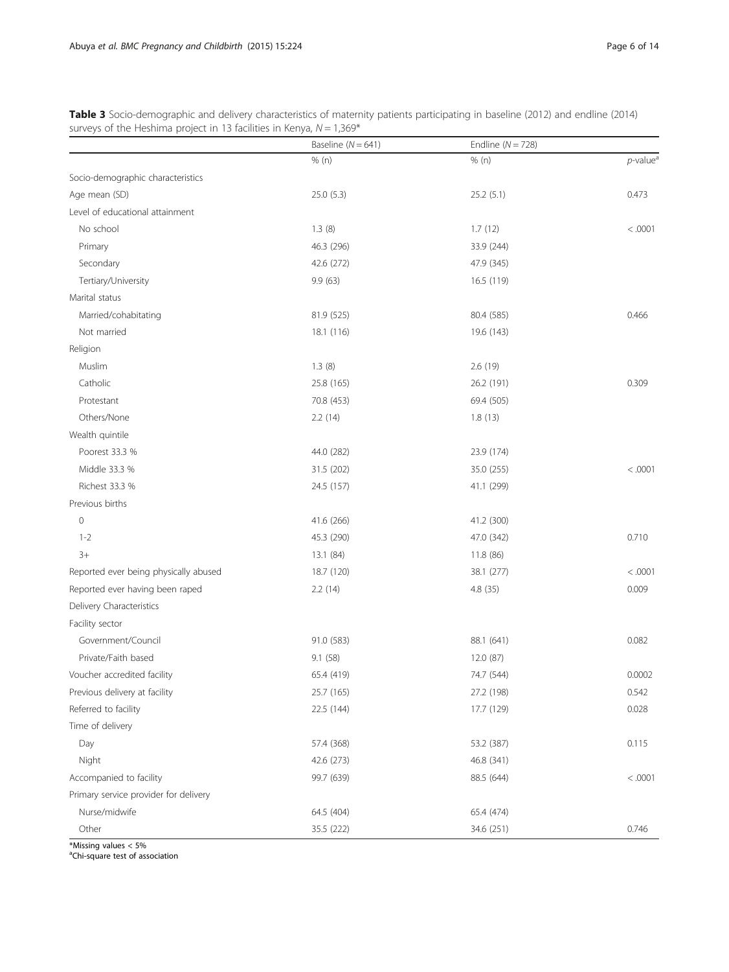<span id="page-5-0"></span>Table 3 Socio-demographic and delivery characteristics of maternity patients participating in baseline (2012) and endline (2014) surveys of the Heshima project in 13 facilities in Kenya,  $N = 1,369^*$ 

|                                       | Baseline ( $N = 641$ ) | Endline ( $N = 728$ ) |                         |
|---------------------------------------|------------------------|-----------------------|-------------------------|
|                                       | % (n)                  | % (n)                 | $p$ -value <sup>a</sup> |
| Socio-demographic characteristics     |                        |                       |                         |
| Age mean (SD)                         | 25.0 (5.3)             | 25.2(5.1)             | 0.473                   |
| Level of educational attainment       |                        |                       |                         |
| No school                             | 1.3(8)                 | 1.7(12)               | < .0001                 |
| Primary                               | 46.3 (296)             | 33.9 (244)            |                         |
| Secondary                             | 42.6 (272)             | 47.9 (345)            |                         |
| Tertiary/University                   | 9.9(63)                | 16.5 (119)            |                         |
| Marital status                        |                        |                       |                         |
| Married/cohabitating                  | 81.9 (525)             | 80.4 (585)            | 0.466                   |
| Not married                           | 18.1 (116)             | 19.6 (143)            |                         |
| Religion                              |                        |                       |                         |
| Muslim                                | 1.3(8)                 | 2.6 (19)              |                         |
| Catholic                              | 25.8 (165)             | 26.2 (191)            | 0.309                   |
| Protestant                            | 70.8 (453)             | 69.4 (505)            |                         |
| Others/None                           | 2.2(14)                | 1.8(13)               |                         |
| Wealth quintile                       |                        |                       |                         |
| Poorest 33.3 %                        | 44.0 (282)             | 23.9 (174)            |                         |
| Middle 33.3 %                         | 31.5 (202)             | 35.0 (255)            | < .0001                 |
| Richest 33.3 %                        | 24.5 (157)             | 41.1 (299)            |                         |
| Previous births                       |                        |                       |                         |
| $\mathsf{O}\xspace$                   | 41.6 (266)             | 41.2 (300)            |                         |
| $1 - 2$                               | 45.3 (290)             | 47.0 (342)            | 0.710                   |
| $3+$                                  | 13.1 (84)              | 11.8 (86)             |                         |
| Reported ever being physically abused | 18.7 (120)             | 38.1 (277)            | < .0001                 |
| Reported ever having been raped       | 2.2(14)                | 4.8 (35)              | 0.009                   |
| Delivery Characteristics              |                        |                       |                         |
| Facility sector                       |                        |                       |                         |
| Government/Council                    | 91.0 (583)             | 88.1 (641)            | 0.082                   |
| Private/Faith based                   | 9.1(58)                | 12.0 (87)             |                         |
| Voucher accredited facility           | 65.4 (419)             | 74.7 (544)            | 0.0002                  |
| Previous delivery at facility         | 25.7 (165)             | 27.2 (198)            | 0.542                   |
| Referred to facility                  | 22.5 (144)             | 17.7 (129)            | 0.028                   |
| Time of delivery                      |                        |                       |                         |
| Day                                   | 57.4 (368)             | 53.2 (387)            | 0.115                   |
| Night                                 | 42.6 (273)             | 46.8 (341)            |                         |
| Accompanied to facility               | 99.7 (639)             | 88.5 (644)            | < .0001                 |
| Primary service provider for delivery |                        |                       |                         |
| Nurse/midwife                         | 64.5 (404)             | 65.4 (474)            |                         |
| Other                                 | 35.5 (222)             | 34.6 (251)            | 0.746                   |

\*Missing values < 5% a Chi-square test of association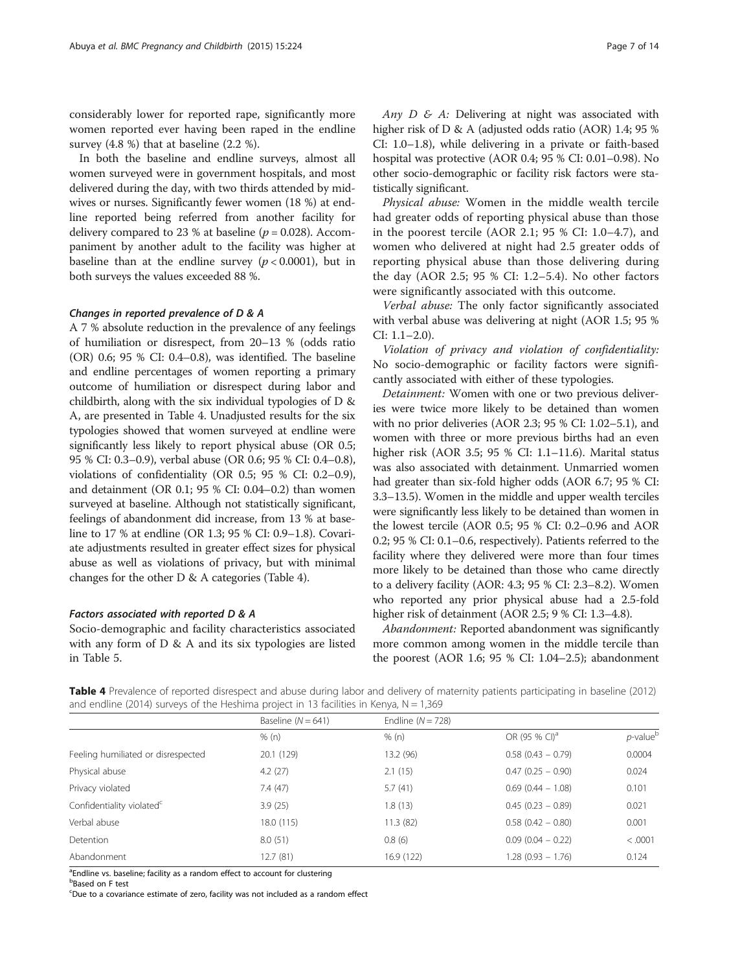considerably lower for reported rape, significantly more women reported ever having been raped in the endline survey (4.8 %) that at baseline (2.2 %).

In both the baseline and endline surveys, almost all women surveyed were in government hospitals, and most delivered during the day, with two thirds attended by midwives or nurses. Significantly fewer women (18 %) at endline reported being referred from another facility for delivery compared to 23 % at baseline ( $p = 0.028$ ). Accompaniment by another adult to the facility was higher at baseline than at the endline survey  $(p < 0.0001)$ , but in both surveys the values exceeded 88 %.

#### Changes in reported prevalence of D & A

A 7 % absolute reduction in the prevalence of any feelings of humiliation or disrespect, from 20–13 % (odds ratio (OR) 0.6; 95 % CI: 0.4–0.8), was identified. The baseline and endline percentages of women reporting a primary outcome of humiliation or disrespect during labor and childbirth, along with the six individual typologies of D & A, are presented in Table 4. Unadjusted results for the six typologies showed that women surveyed at endline were significantly less likely to report physical abuse (OR 0.5; 95 % CI: 0.3–0.9), verbal abuse (OR 0.6; 95 % CI: 0.4–0.8), violations of confidentiality (OR 0.5; 95 % CI: 0.2–0.9), and detainment (OR 0.1; 95 % CI: 0.04–0.2) than women surveyed at baseline. Although not statistically significant, feelings of abandonment did increase, from 13 % at baseline to 17 % at endline (OR 1.3; 95 % CI: 0.9–1.8). Covariate adjustments resulted in greater effect sizes for physical abuse as well as violations of privacy, but with minimal changes for the other D & A categories (Table 4).

#### Factors associated with reported D & A

Socio-demographic and facility characteristics associated with any form of D & A and its six typologies are listed in Table [5.](#page-7-0)

Any  $D \& A$ : Delivering at night was associated with higher risk of D & A (adjusted odds ratio (AOR) 1.4; 95 % CI: 1.0–1.8), while delivering in a private or faith-based hospital was protective (AOR 0.4; 95 % CI: 0.01–0.98). No other socio-demographic or facility risk factors were statistically significant.

Physical abuse: Women in the middle wealth tercile had greater odds of reporting physical abuse than those in the poorest tercile (AOR 2.1; 95 % CI: 1.0–4.7), and women who delivered at night had 2.5 greater odds of reporting physical abuse than those delivering during the day (AOR 2.5; 95 % CI: 1.2–5.4). No other factors were significantly associated with this outcome.

Verbal abuse: The only factor significantly associated with verbal abuse was delivering at night (AOR 1.5; 95 % CI: 1.1–2.0).

Violation of privacy and violation of confidentiality: No socio-demographic or facility factors were significantly associated with either of these typologies.

Detainment: Women with one or two previous deliveries were twice more likely to be detained than women with no prior deliveries (AOR 2.3; 95 % CI: 1.02–5.1), and women with three or more previous births had an even higher risk (AOR 3.5; 95 % CI: 1.1–11.6). Marital status was also associated with detainment. Unmarried women had greater than six-fold higher odds (AOR 6.7; 95 % CI: 3.3–13.5). Women in the middle and upper wealth terciles were significantly less likely to be detained than women in the lowest tercile (AOR 0.5; 95 % CI: 0.2–0.96 and AOR 0.2; 95 % CI: 0.1–0.6, respectively). Patients referred to the facility where they delivered were more than four times more likely to be detained than those who came directly to a delivery facility (AOR: 4.3; 95 % CI: 2.3–8.2). Women who reported any prior physical abuse had a 2.5-fold higher risk of detainment (AOR 2.5; 9 % CI: 1.3–4.8).

Abandonment: Reported abandonment was significantly more common among women in the middle tercile than the poorest (AOR 1.6; 95 % CI: 1.04–2.5); abandonment

Table 4 Prevalence of reported disrespect and abuse during labor and delivery of maternity patients participating in baseline (2012) and endline (2014) surveys of the Heshima project in 13 facilities in Kenya,  $N = 1,369$ 

|                                       | Baseline $(N = 641)$ | Endline $(N = 728)$ |                           |                |
|---------------------------------------|----------------------|---------------------|---------------------------|----------------|
|                                       | % (n)                | % (n)               | OR (95 % CI) <sup>a</sup> | $p$ -value $b$ |
| Feeling humiliated or disrespected    | 20.1 (129)           | 13.2 (96)           | $0.58(0.43 - 0.79)$       | 0.0004         |
| Physical abuse                        | 4.2(27)              | 2.1(15)             | $0.47(0.25 - 0.90)$       | 0.024          |
| Privacy violated                      | 7.4(47)              | 5.7(41)             | $0.69$ (0.44 - 1.08)      | 0.101          |
| Confidentiality violated <sup>c</sup> | 3.9(25)              | 1.8(13)             | $0.45(0.23 - 0.89)$       | 0.021          |
| Verbal abuse                          | 18.0 (115)           | 11.3(82)            | $0.58(0.42 - 0.80)$       | 0.001          |
| Detention                             | 8.0(51)              | 0.8(6)              | $0.09$ (0.04 - 0.22)      | < .0001        |
| Abandonment                           | 12.7(81)             | 16.9 (122)          | $1.28(0.93 - 1.76)$       | 0.124          |
|                                       |                      |                     |                           |                |

<sup>a</sup>Endline vs. baseline; facility as a random effect to account for clustering

<sup>b</sup>Based on F test

<sup>c</sup>Due to a covariance estimate of zero, facility was not included as a random effect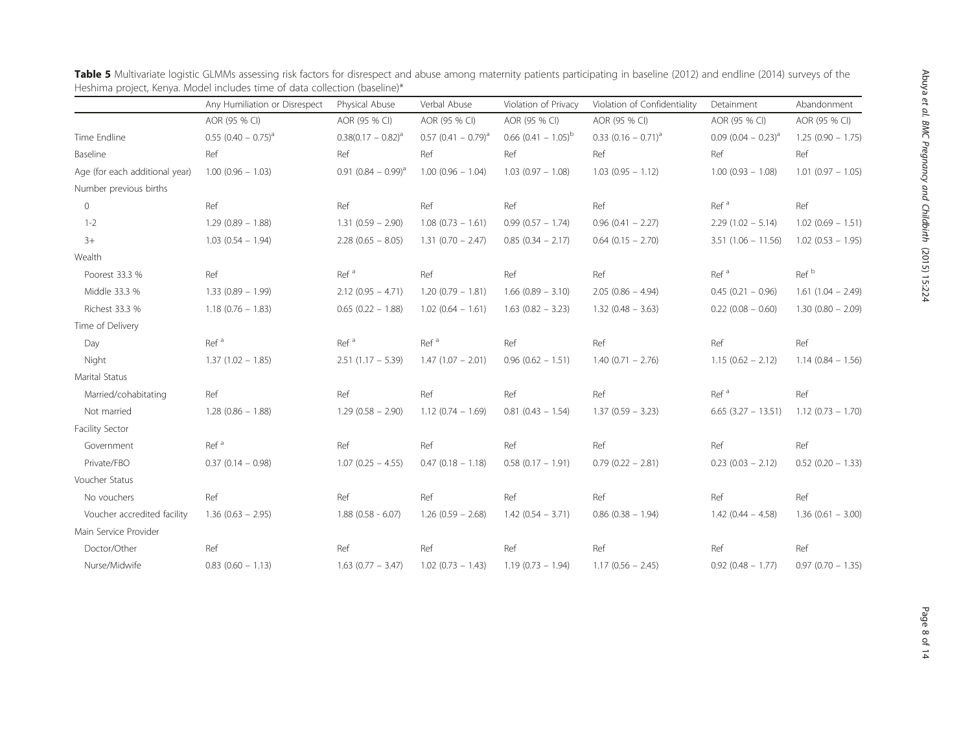|                                | Any Humiliation or Disrespect | Physical Abuse          | Verbal Abuse                      | Violation of Privacy              | Violation of Confidentiality | Detainment               | Abandonment          |
|--------------------------------|-------------------------------|-------------------------|-----------------------------------|-----------------------------------|------------------------------|--------------------------|----------------------|
|                                | AOR (95 % CI)                 | AOR (95 % CI)           | AOR (95 % CI)                     | AOR (95 % CI)                     | AOR (95 % CI)                | AOR (95 % CI)            | AOR (95 % CI)        |
| Time Endline                   | $0.55 (0.40 - 0.75)^{a}$      | $0.38(0.17 - 0.82)^{a}$ | $0.57$ (0.41 - 0.79) <sup>a</sup> | $0.66$ (0.41 – 1.05) <sup>b</sup> | $0.33$ $(0.16 - 0.71)^a$     | $0.09$ $(0.04 - 0.23)^a$ | $1.25(0.90 - 1.75)$  |
| Baseline                       | Ref                           | Ref                     | Ref                               | Ref                               | Ref                          | Ref                      | Ref                  |
| Age (for each additional year) | $1.00$ (0.96 - 1.03)          | $0.91(0.84 - 0.99)^{a}$ | $1.00(0.96 - 1.04)$               | $1.03(0.97 - 1.08)$               | $1.03(0.95 - 1.12)$          | $1.00$ (0.93 - 1.08)     | $1.01$ (0.97 - 1.05) |
| Number previous births         |                               |                         |                                   |                                   |                              |                          |                      |
| $\circ$                        | Ref                           | Ref                     | Ref                               | Ref                               | Ref                          | Ref <sup>a</sup>         | Ref                  |
| $1 - 2$                        | $1.29(0.89 - 1.88)$           | $1.31(0.59 - 2.90)$     | $1.08(0.73 - 1.61)$               | $0.99(0.57 - 1.74)$               | $0.96(0.41 - 2.27)$          | $2.29(1.02 - 5.14)$      | $1.02$ (0.69 - 1.51) |
| $3+$                           | $1.03(0.54 - 1.94)$           | $2.28$ (0.65 - 8.05)    | $1.31(0.70 - 2.47)$               | $0.85(0.34 - 2.17)$               | $0.64$ (0.15 - 2.70)         | $3.51(1.06 - 11.56)$     | $1.02(0.53 - 1.95)$  |
| Wealth                         |                               |                         |                                   |                                   |                              |                          |                      |
| Poorest 33.3 %                 | Ref                           | Ref <sup>a</sup>        | Ref                               | Ref                               | Ref                          | Ref <sup>a</sup>         | Ref <sup>b</sup>     |
| Middle 33.3 %                  | $1.33(0.89 - 1.99)$           | $2.12(0.95 - 4.71)$     | $1.20(0.79 - 1.81)$               | $1.66$ (0.89 - 3.10)              | $2.05(0.86 - 4.94)$          | $0.45(0.21 - 0.96)$      | $1.61(1.04 - 2.49)$  |
| Richest 33.3 %                 | $1.18(0.76 - 1.83)$           | $0.65(0.22 - 1.88)$     | $1.02$ (0.64 - 1.61)              | $1.63$ (0.82 - 3.23)              | $1.32(0.48 - 3.63)$          | $0.22$ (0.08 - 0.60)     | $1.30(0.80 - 2.09)$  |
| Time of Delivery               |                               |                         |                                   |                                   |                              |                          |                      |
| Day                            | Ref <sup>a</sup>              | Ref <sup>a</sup>        | Ref <sup>a</sup>                  | Ref                               | Ref                          | Ref                      | Ref                  |
| Night                          | $1.37(1.02 - 1.85)$           | $2.51(1.17 - 5.39)$     | $1.47(1.07 - 2.01)$               | $0.96(0.62 - 1.51)$               | $1.40(0.71 - 2.76)$          | $1.15(0.62 - 2.12)$      | $1.14(0.84 - 1.56)$  |
| Marital Status                 |                               |                         |                                   |                                   |                              |                          |                      |
| Married/cohabitating           | Ref                           | Ref                     | Ref                               | Ref                               | Ref                          | Ref <sup>a</sup>         | Ref                  |
| Not married                    | $1.28(0.86 - 1.88)$           | $1.29(0.58 - 2.90)$     | $1.12(0.74 - 1.69)$               | $0.81(0.43 - 1.54)$               | $1.37(0.59 - 3.23)$          | $6.65$ $(3.27 - 13.51)$  | $1.12(0.73 - 1.70)$  |
| <b>Facility Sector</b>         |                               |                         |                                   |                                   |                              |                          |                      |
| Government                     | Ref <sup>a</sup>              | Ref                     | Ref                               | Ref                               | Ref                          | Ref                      | Ref                  |
| Private/FBO                    | $0.37(0.14 - 0.98)$           | $1.07(0.25 - 4.55)$     | $0.47(0.18 - 1.18)$               | $0.58(0.17 - 1.91)$               | $0.79(0.22 - 2.81)$          | $0.23$ $(0.03 - 2.12)$   | $0.52$ (0.20 - 1.33) |
| Voucher Status                 |                               |                         |                                   |                                   |                              |                          |                      |
| No vouchers                    | Ref                           | Ref                     | Ref                               | Ref                               | Ref                          | Ref                      | Ref                  |
| Voucher accredited facility    | $1.36(0.63 - 2.95)$           | $1.88$ (0.58 - 6.07)    | $1.26(0.59 - 2.68)$               | $1.42(0.54 - 3.71)$               | $0.86$ (0.38 - 1.94)         | $1.42(0.44 - 4.58)$      | $1.36(0.61 - 3.00)$  |
| Main Service Provider          |                               |                         |                                   |                                   |                              |                          |                      |
| Doctor/Other                   | Ref                           | Ref                     | Ref                               | Ref                               | Ref                          | Ref                      | Ref                  |
| Nurse/Midwife                  | $0.83$ (0.60 - 1.13)          | $1.63$ (0.77 - 3.47)    | $1.02$ (0.73 - 1.43)              | $1.19(0.73 - 1.94)$               | $1.17(0.56 - 2.45)$          | $0.92$ (0.48 - 1.77)     | $0.97$ (0.70 - 1.35) |

<span id="page-7-0"></span>Table 5 Multivariate logistic GLMMs assessing risk factors for disrespect and abuse among maternity patients participating in baseline (2012) and endline (2014) surveys of the Heshima project, Kenya. Model includes time of data collection (baseline)\*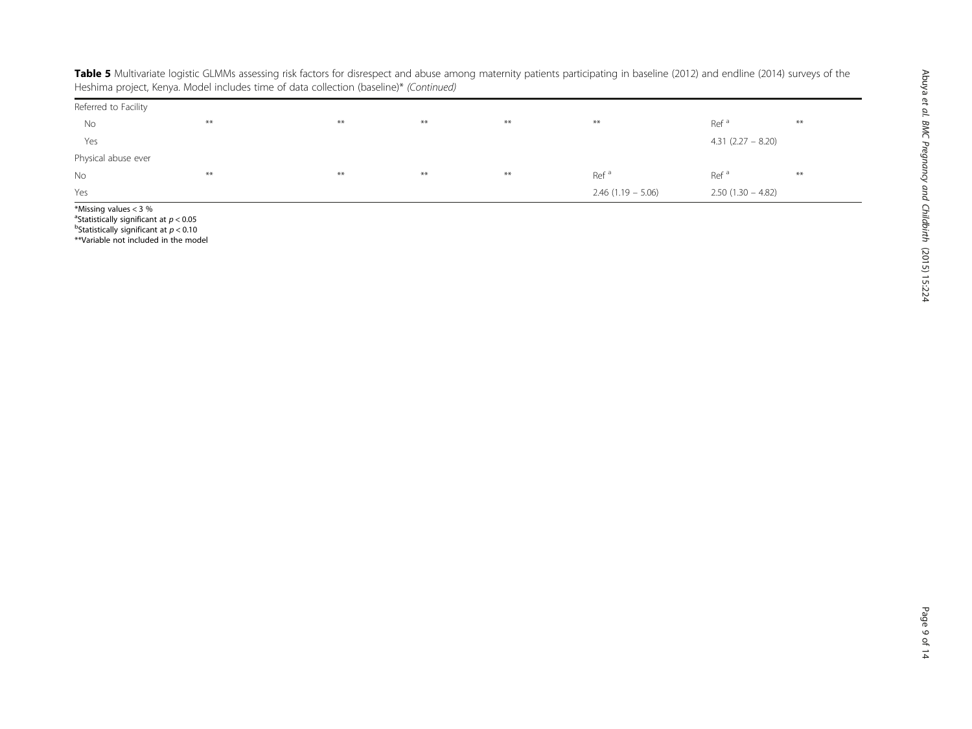|                      | resumma project, nemjarmoaer melades enne or data concetion (basemie) (commaca) |       |       |       |                     |                     |    |  |  |  |
|----------------------|---------------------------------------------------------------------------------|-------|-------|-------|---------------------|---------------------|----|--|--|--|
| Referred to Facility |                                                                                 |       |       |       |                     |                     |    |  |  |  |
| No                   | **                                                                              | $***$ | $***$ | $***$ | $***$               | Ref <sup>a</sup>    | ** |  |  |  |
| Yes                  |                                                                                 |       |       |       |                     | $4.31(2.27 - 8.20)$ |    |  |  |  |
| Physical abuse ever  |                                                                                 |       |       |       |                     |                     |    |  |  |  |
| No                   | $***$                                                                           | $***$ | $***$ | $***$ | Ref <sup>a</sup>    | Ref <sup>a</sup>    | ** |  |  |  |
| Yes                  |                                                                                 |       |       |       | $2.46(1.19 - 5.06)$ | $2.50(1.30 - 4.82)$ |    |  |  |  |

Table 5 Multivariate logistic GLMMs assessing risk factors for disrespect and abuse among maternity patients participating in baseline (2012) and endline (2014) surveys of the Heshima project, Kenya. Model includes time of data collection (baseline)\* (Continued)

\*Missing values < 3 %

<sup>a</sup>Statistically significant at  $p < 0.05$ <sup>a</sup>Statistically significant at *p* < 0.05<br><sup>b</sup>Statistically significant at *p* < 0.10

\*\*Variable not included in the model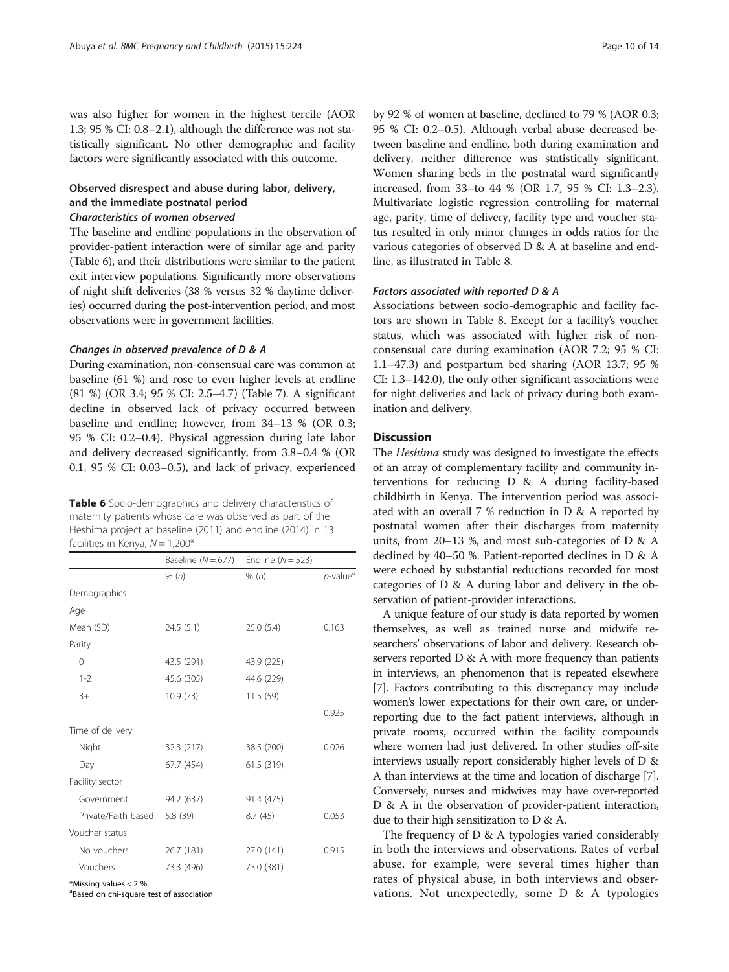was also higher for women in the highest tercile (AOR 1.3; 95 % CI: 0.8–2.1), although the difference was not statistically significant. No other demographic and facility factors were significantly associated with this outcome.

## Observed disrespect and abuse during labor, delivery, and the immediate postnatal period

## Characteristics of women observed

The baseline and endline populations in the observation of provider-patient interaction were of similar age and parity (Table 6), and their distributions were similar to the patient exit interview populations. Significantly more observations of night shift deliveries (38 % versus 32 % daytime deliveries) occurred during the post-intervention period, and most observations were in government facilities.

## Changes in observed prevalence of D & A

During examination, non-consensual care was common at baseline (61 %) and rose to even higher levels at endline (81 %) (OR 3.4; 95 % CI: 2.5–4.7) (Table [7\)](#page-10-0). A significant decline in observed lack of privacy occurred between baseline and endline; however, from 34–13 % (OR 0.3; 95 % CI: 0.2–0.4). Physical aggression during late labor and delivery decreased significantly, from 3.8–0.4 % (OR 0.1, 95 % CI: 0.03–0.5), and lack of privacy, experienced

Table 6 Socio-demographics and delivery characteristics of maternity patients whose care was observed as part of the Heshima project at baseline (2011) and endline (2014) in 13 facilities in Kenya,  $N = 1,200*$ 

|                     | Baseline ( $N = 677$ ) | Endline ( $N = 523$ ) |                         |
|---------------------|------------------------|-----------------------|-------------------------|
|                     | % (n)                  | % (n)                 | $p$ -value <sup>a</sup> |
| Demographics        |                        |                       |                         |
| Age                 |                        |                       |                         |
| Mean (SD)           | 24.5(5.1)              | 25.0(5.4)             | 0.163                   |
| Parity              |                        |                       |                         |
| $\Omega$            | 43.5 (291)             | 43.9 (225)            |                         |
| $1 - 2$             | 45.6 (305)             | 44.6 (229)            |                         |
| $3+$                | 10.9(73)               | 11.5(59)              |                         |
|                     |                        |                       | 0.925                   |
| Time of delivery    |                        |                       |                         |
| Night               | 32.3 (217)             | 38.5 (200)            | 0.026                   |
| Day                 | 67.7 (454)             | 61.5 (319)            |                         |
| Facility sector     |                        |                       |                         |
| Government          | 94.2 (637)             | 91.4 (475)            |                         |
| Private/Faith based | 5.8(39)                | 8.7(45)               | 0.053                   |
| Voucher status      |                        |                       |                         |
| No vouchers         | 26.7 (181)             | 27.0 (141)            | 0.915                   |
| Vouchers            | 73.3 (496)             | 73.0 (381)            |                         |

\*Missing values < 2 %

a Based on chi-square test of association

by 92 % of women at baseline, declined to 79 % (AOR 0.3; 95 % CI: 0.2–0.5). Although verbal abuse decreased between baseline and endline, both during examination and delivery, neither difference was statistically significant. Women sharing beds in the postnatal ward significantly increased, from 33–to 44 % (OR 1.7, 95 % CI: 1.3–2.3). Multivariate logistic regression controlling for maternal age, parity, time of delivery, facility type and voucher status resulted in only minor changes in odds ratios for the various categories of observed D & A at baseline and endline, as illustrated in Table [8.](#page-11-0)

#### Factors associated with reported D & A

Associations between socio-demographic and facility factors are shown in Table [8.](#page-11-0) Except for a facility's voucher status, which was associated with higher risk of nonconsensual care during examination (AOR 7.2; 95 % CI: 1.1–47.3) and postpartum bed sharing (AOR 13.7; 95 % CI: 1.3–142.0), the only other significant associations were for night deliveries and lack of privacy during both examination and delivery.

## **Discussion**

The *Heshima* study was designed to investigate the effects of an array of complementary facility and community interventions for reducing D & A during facility-based childbirth in Kenya. The intervention period was associated with an overall 7 % reduction in D & A reported by postnatal women after their discharges from maternity units, from 20–13 %, and most sub-categories of D & A declined by 40–50 %. Patient-reported declines in D & A were echoed by substantial reductions recorded for most categories of D & A during labor and delivery in the observation of patient-provider interactions.

A unique feature of our study is data reported by women themselves, as well as trained nurse and midwife researchers' observations of labor and delivery. Research observers reported D & A with more frequency than patients in interviews, an phenomenon that is repeated elsewhere [[7](#page-13-0)]. Factors contributing to this discrepancy may include women's lower expectations for their own care, or underreporting due to the fact patient interviews, although in private rooms, occurred within the facility compounds where women had just delivered. In other studies off-site interviews usually report considerably higher levels of D & A than interviews at the time and location of discharge [[7](#page-13-0)]. Conversely, nurses and midwives may have over-reported D & A in the observation of provider-patient interaction, due to their high sensitization to D & A.

The frequency of D & A typologies varied considerably in both the interviews and observations. Rates of verbal abuse, for example, were several times higher than rates of physical abuse, in both interviews and observations. Not unexpectedly, some D & A typologies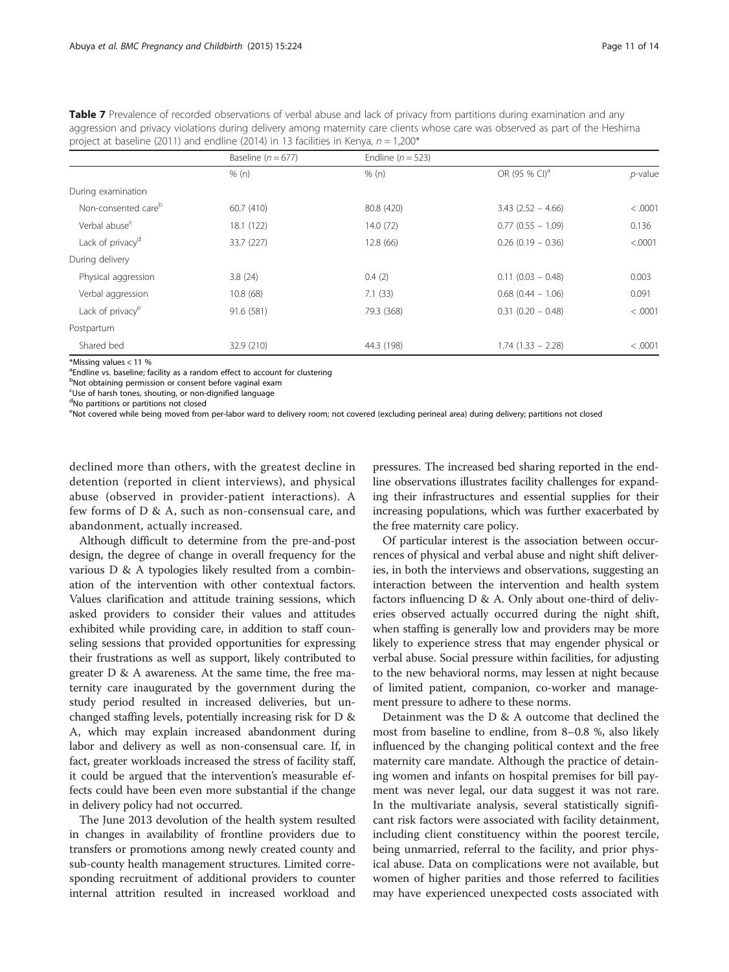<span id="page-10-0"></span>

| <b>Table 7</b> Prevalence of recorded observations of verbal abuse and lack of privacy from partitions during examination and any |  |
|-----------------------------------------------------------------------------------------------------------------------------------|--|
| aggression and privacy violations during delivery among maternity care clients whose care was observed as part of the Heshima     |  |
| project at baseline (2011) and endline (2014) in 13 facilities in Kenya, $n = 1,200^*$                                            |  |

|                                 | Baseline ( $n = 677$ ) | Endline ( $n = 523$ ) |                           |            |
|---------------------------------|------------------------|-----------------------|---------------------------|------------|
|                                 | % (n)                  | % (n)                 | OR (95 % CI) <sup>a</sup> | $p$ -value |
| During examination              |                        |                       |                           |            |
| Non-consented care <sup>b</sup> | 60.7 (410)             | 80.8 (420)            | $3.43$ ( $2.52 - 4.66$ )  | < .0001    |
| Verbal abuse <sup>c</sup>       | 18.1 (122)             | 14.0(72)              | $0.77(0.55 - 1.09)$       | 0.136      |
| Lack of privacy <sup>d</sup>    | 33.7 (227)             | 12.8(66)              | $0.26$ (0.19 - 0.36)      | < .0001    |
| During delivery                 |                        |                       |                           |            |
| Physical aggression             | 3.8(24)                | 0.4(2)                | $0.11(0.03 - 0.48)$       | 0.003      |
| Verbal aggression               | 10.8(68)               | 7.1(33)               | $0.68$ $(0.44 - 1.06)$    | 0.091      |
| Lack of privacy <sup>e</sup>    | 91.6 (581)             | 79.3 (368)            | $0.31(0.20 - 0.48)$       | < .0001    |
| Postpartum                      |                        |                       |                           |            |
| Shared bed                      | 32.9 (210)             | 44.3 (198)            | $1.74(1.33 - 2.28)$       | < .0001    |

\*Missing values < 11 %

<sup>a</sup>Endline vs. baseline; facility as a random effect to account for clustering

<sup>b</sup>Not obtaining permission or consent before vaginal exam

<sup>c</sup>Use of harsh tones, shouting, or non-dignified language

d No partitions or partitions not closed

e<br>Not covered while being moved from per-labor ward to delivery room; not covered (excluding perineal area) during delivery; partitions not closed

declined more than others, with the greatest decline in detention (reported in client interviews), and physical abuse (observed in provider-patient interactions). A few forms of D & A, such as non-consensual care, and abandonment, actually increased.

Although difficult to determine from the pre-and-post design, the degree of change in overall frequency for the various D & A typologies likely resulted from a combination of the intervention with other contextual factors. Values clarification and attitude training sessions, which asked providers to consider their values and attitudes exhibited while providing care, in addition to staff counseling sessions that provided opportunities for expressing their frustrations as well as support, likely contributed to greater D & A awareness. At the same time, the free maternity care inaugurated by the government during the study period resulted in increased deliveries, but unchanged staffing levels, potentially increasing risk for D & A, which may explain increased abandonment during labor and delivery as well as non-consensual care. If, in fact, greater workloads increased the stress of facility staff, it could be argued that the intervention's measurable effects could have been even more substantial if the change in delivery policy had not occurred.

The June 2013 devolution of the health system resulted in changes in availability of frontline providers due to transfers or promotions among newly created county and sub-county health management structures. Limited corresponding recruitment of additional providers to counter internal attrition resulted in increased workload and

pressures. The increased bed sharing reported in the endline observations illustrates facility challenges for expanding their infrastructures and essential supplies for their increasing populations, which was further exacerbated by the free maternity care policy.

Of particular interest is the association between occurrences of physical and verbal abuse and night shift deliveries, in both the interviews and observations, suggesting an interaction between the intervention and health system factors influencing D & A. Only about one-third of deliveries observed actually occurred during the night shift, when staffing is generally low and providers may be more likely to experience stress that may engender physical or verbal abuse. Social pressure within facilities, for adjusting to the new behavioral norms, may lessen at night because of limited patient, companion, co-worker and management pressure to adhere to these norms.

Detainment was the D & A outcome that declined the most from baseline to endline, from 8–0.8 %, also likely influenced by the changing political context and the free maternity care mandate. Although the practice of detaining women and infants on hospital premises for bill payment was never legal, our data suggest it was not rare. In the multivariate analysis, several statistically significant risk factors were associated with facility detainment, including client constituency within the poorest tercile, being unmarried, referral to the facility, and prior physical abuse. Data on complications were not available, but women of higher parities and those referred to facilities may have experienced unexpected costs associated with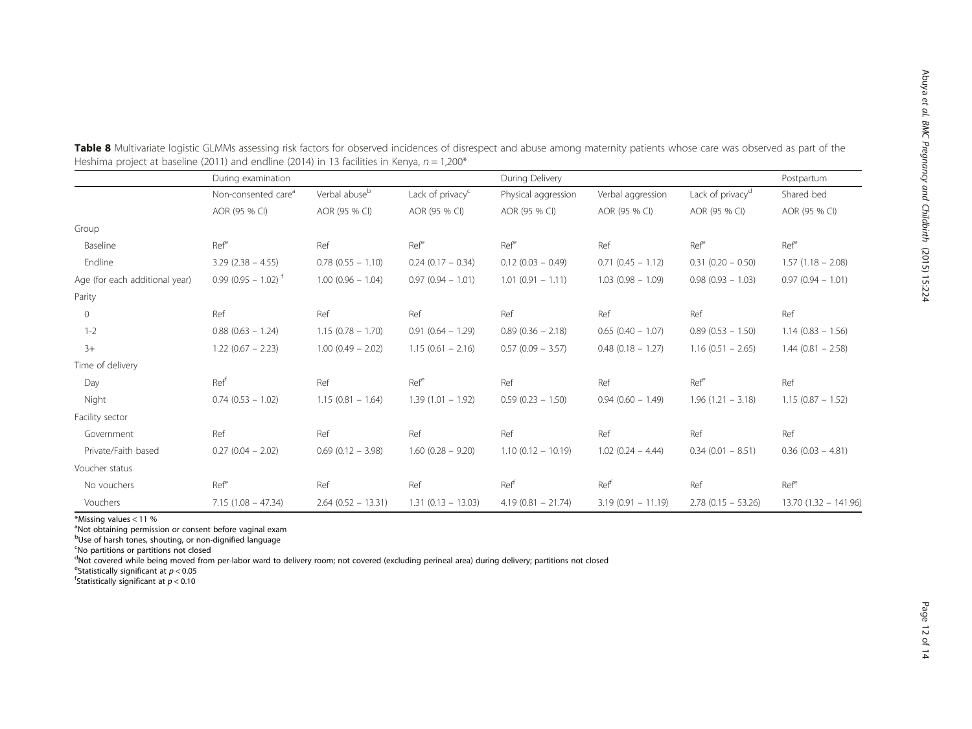|                                | During examination              |                           |                              | During Delivery      | Postpartum           |                              |                        |
|--------------------------------|---------------------------------|---------------------------|------------------------------|----------------------|----------------------|------------------------------|------------------------|
|                                | Non-consented care <sup>a</sup> | Verbal abuse <sup>b</sup> | Lack of privacy <sup>c</sup> | Physical aggression  | Verbal aggression    | Lack of privacy <sup>d</sup> | Shared bed             |
|                                | AOR (95 % CI)                   | AOR (95 % CI)             | AOR (95 % CI)                | AOR (95 % CI)        | AOR (95 % CI)        | AOR (95 % CI)                | AOR (95 % CI)          |
| Group                          |                                 |                           |                              |                      |                      |                              |                        |
| Baseline                       | Ref <sup>e</sup>                | Ref                       | Ref <sup>e</sup>             | Ref <sup>e</sup>     | Ref                  | Ref <sup>e</sup>             | Ref <sup>e</sup>       |
| Endline                        | $3.29$ (2.38 - 4.55)            | $0.78$ (0.55 - 1.10)      | $0.24(0.17 - 0.34)$          | $0.12$ (0.03 - 0.49) | $0.71(0.45 - 1.12)$  | $0.31(0.20 - 0.50)$          | $1.57(1.18 - 2.08)$    |
| Age (for each additional year) | $0.99(0.95 - 1.02)^{f}$         | $1.00$ (0.96 - 1.04)      | $0.97(0.94 - 1.01)$          | $1.01(0.91 - 1.11)$  | $1.03(0.98 - 1.09)$  | $0.98(0.93 - 1.03)$          | $0.97(0.94 - 1.01)$    |
| Parity                         |                                 |                           |                              |                      |                      |                              |                        |
| $\circ$                        | Ref                             | Ref                       | Ref                          | Ref                  | Ref                  | Ref                          | Ref                    |
| $1 - 2$                        | $0.88$ (0.63 - 1.24)            | $1.15(0.78 - 1.70)$       | $0.91(0.64 - 1.29)$          | $0.89$ (0.36 - 2.18) | $0.65(0.40 - 1.07)$  | $0.89(0.53 - 1.50)$          | $1.14(0.83 - 1.56)$    |
| $3+$                           | $1.22$ (0.67 - 2.23)            | $1.00$ (0.49 - 2.02)      | $1.15(0.61 - 2.16)$          | $0.57$ (0.09 - 3.57) | $0.48(0.18 - 1.27)$  | $1.16(0.51 - 2.65)$          | $1.44(0.81 - 2.58)$    |
| Time of delivery               |                                 |                           |                              |                      |                      |                              |                        |
| Day                            | Ref                             | Ref                       | Ref <sup>e</sup>             | Ref                  | Ref                  | Ref <sup>e</sup>             | Ref                    |
| Night                          | $0.74$ $(0.53 - 1.02)$          | $1.15(0.81 - 1.64)$       | $1.39(1.01 - 1.92)$          | $0.59(0.23 - 1.50)$  | $0.94(0.60 - 1.49)$  | $1.96(1.21 - 3.18)$          | $1.15(0.87 - 1.52)$    |
| Facility sector                |                                 |                           |                              |                      |                      |                              |                        |
| Government                     | Ref                             | Ref                       | Ref                          | Ref                  | Ref                  | Ref                          | Ref                    |
| Private/Faith based            | $0.27$ (0.04 - 2.02)            | $0.69(0.12 - 3.98)$       | $1.60(0.28 - 9.20)$          | $1.10(0.12 - 10.19)$ | $1.02$ (0.24 - 4.44) | $0.34(0.01 - 8.51)$          | $0.36(0.03 - 4.81)$    |
| Voucher status                 |                                 |                           |                              |                      |                      |                              |                        |
| No vouchers                    | Ref <sup>e</sup>                | Ref                       | Ref                          | Ref                  | Ref                  | Ref                          | Ref <sup>e</sup>       |
| Vouchers                       | $7.15(1.08 - 47.34)$            | $2.64(0.52 - 13.31)$      | $1.31(0.13 - 13.03)$         | $4.19(0.81 - 21.74)$ | $3.19(0.91 - 11.19)$ | $2.78(0.15 - 53.26)$         | $13.70(1.32 - 141.96)$ |

<span id="page-11-0"></span>Table 8 Multivariate logistic GLMMs assessing risk factors for observed incidences of disrespect and abuse among maternity patients whose care was observed as part of the Heshima project at baseline (2011) and endline (2014) in 13 facilities in Kenya,  $n = 1,200*$ 

\*Missing values < 11 %

<sup>a</sup>Not obtaining permission or consent before vaginal exam

bUse of harsh tones, shouting, or non-dignified language

<sup>c</sup>No partitions or partitions not closed

<sup>d</sup>Not covered while being moved from per-labor ward to delivery room; not covered (excluding perineal area) during delivery; partitions not closed

<sup>e</sup>Statistically significant at  $p < 0.05$ <br><sup>f</sup>Statistically significant at  $p < 0.10$ 

<sup>f</sup>Statistically significant at  $p < 0.10$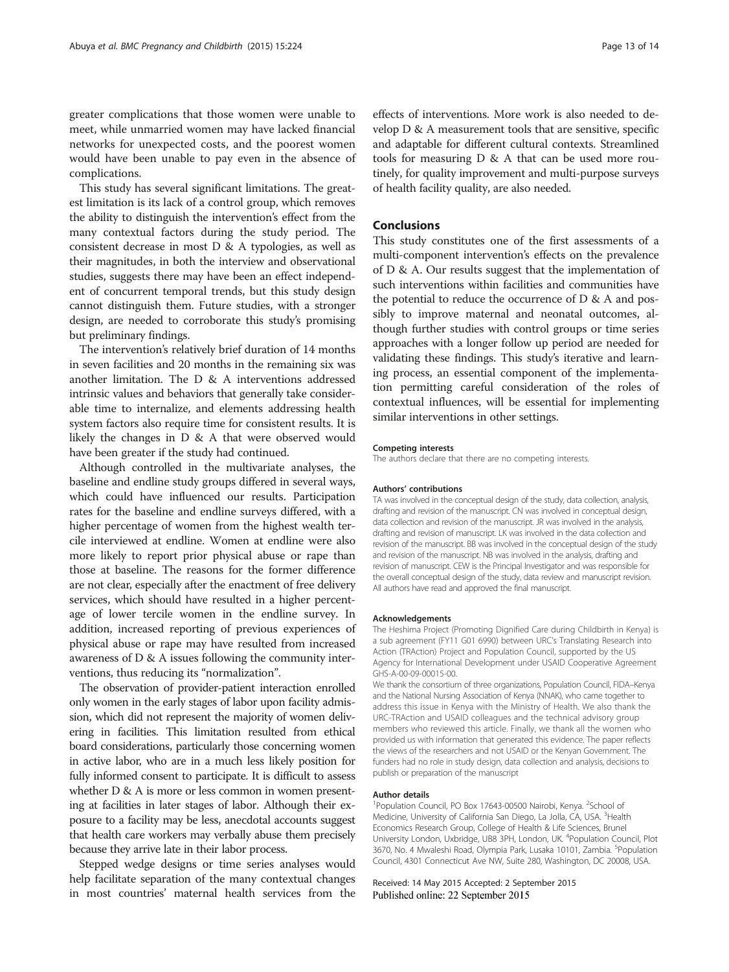greater complications that those women were unable to meet, while unmarried women may have lacked financial networks for unexpected costs, and the poorest women would have been unable to pay even in the absence of complications.

This study has several significant limitations. The greatest limitation is its lack of a control group, which removes the ability to distinguish the intervention's effect from the many contextual factors during the study period. The consistent decrease in most D & A typologies, as well as their magnitudes, in both the interview and observational studies, suggests there may have been an effect independent of concurrent temporal trends, but this study design cannot distinguish them. Future studies, with a stronger design, are needed to corroborate this study's promising but preliminary findings.

The intervention's relatively brief duration of 14 months in seven facilities and 20 months in the remaining six was another limitation. The D & A interventions addressed intrinsic values and behaviors that generally take considerable time to internalize, and elements addressing health system factors also require time for consistent results. It is likely the changes in D & A that were observed would have been greater if the study had continued.

Although controlled in the multivariate analyses, the baseline and endline study groups differed in several ways, which could have influenced our results. Participation rates for the baseline and endline surveys differed, with a higher percentage of women from the highest wealth tercile interviewed at endline. Women at endline were also more likely to report prior physical abuse or rape than those at baseline. The reasons for the former difference are not clear, especially after the enactment of free delivery services, which should have resulted in a higher percentage of lower tercile women in the endline survey. In addition, increased reporting of previous experiences of physical abuse or rape may have resulted from increased awareness of D & A issues following the community interventions, thus reducing its "normalization".

The observation of provider-patient interaction enrolled only women in the early stages of labor upon facility admission, which did not represent the majority of women delivering in facilities. This limitation resulted from ethical board considerations, particularly those concerning women in active labor, who are in a much less likely position for fully informed consent to participate. It is difficult to assess whether D & A is more or less common in women presenting at facilities in later stages of labor. Although their exposure to a facility may be less, anecdotal accounts suggest that health care workers may verbally abuse them precisely because they arrive late in their labor process.

Stepped wedge designs or time series analyses would help facilitate separation of the many contextual changes in most countries' maternal health services from the

effects of interventions. More work is also needed to develop D & A measurement tools that are sensitive, specific and adaptable for different cultural contexts. Streamlined tools for measuring D & A that can be used more routinely, for quality improvement and multi-purpose surveys of health facility quality, are also needed.

## Conclusions

This study constitutes one of the first assessments of a multi-component intervention's effects on the prevalence of D & A. Our results suggest that the implementation of such interventions within facilities and communities have the potential to reduce the occurrence of D & A and possibly to improve maternal and neonatal outcomes, although further studies with control groups or time series approaches with a longer follow up period are needed for validating these findings. This study's iterative and learning process, an essential component of the implementation permitting careful consideration of the roles of contextual influences, will be essential for implementing similar interventions in other settings.

#### Competing interests

The authors declare that there are no competing interests.

#### Authors' contributions

TA was involved in the conceptual design of the study, data collection, analysis, drafting and revision of the manuscript. CN was involved in conceptual design, data collection and revision of the manuscript. JR was involved in the analysis, drafting and revision of manuscript. LK was involved in the data collection and revision of the manuscript. BB was involved in the conceptual design of the study and revision of the manuscript. NB was involved in the analysis, drafting and revision of manuscript. CEW is the Principal Investigator and was responsible for the overall conceptual design of the study, data review and manuscript revision. All authors have read and approved the final manuscript.

#### Acknowledgements

The Heshima Project (Promoting Dignified Care during Childbirth in Kenya) is a sub agreement (FY11 G01 6990) between URC's Translating Research into Action (TRAction) Project and Population Council, supported by the US Agency for International Development under USAID Cooperative Agreement GHS-A-00-09-00015-00.

We thank the consortium of three organizations, Population Council, FIDA–Kenya and the National Nursing Association of Kenya (NNAK), who came together to address this issue in Kenya with the Ministry of Health. We also thank the URC-TRAction and USAID colleagues and the technical advisory group members who reviewed this article. Finally, we thank all the women who provided us with information that generated this evidence. The paper reflects the views of the researchers and not USAID or the Kenyan Government. The funders had no role in study design, data collection and analysis, decisions to publish or preparation of the manuscript

#### Author details

<sup>1</sup>Population Council, PO Box 17643-00500 Nairobi, Kenya. <sup>2</sup>School of Medicine, University of California San Diego, La Jolla, CA, USA. <sup>3</sup>Health Economics Research Group, College of Health & Life Sciences, Brunel University London, Uxbridge, UB8 3PH, London, UK. <sup>4</sup>Population Council, Plot 3670, No. 4 Mwaleshi Road, Olympia Park, Lusaka 10101, Zambia. <sup>5</sup>Population Council, 4301 Connecticut Ave NW, Suite 280, Washington, DC 20008, USA.

Received: 14 May 2015 Accepted: 2 September 2015 Published online: 22 September 2015